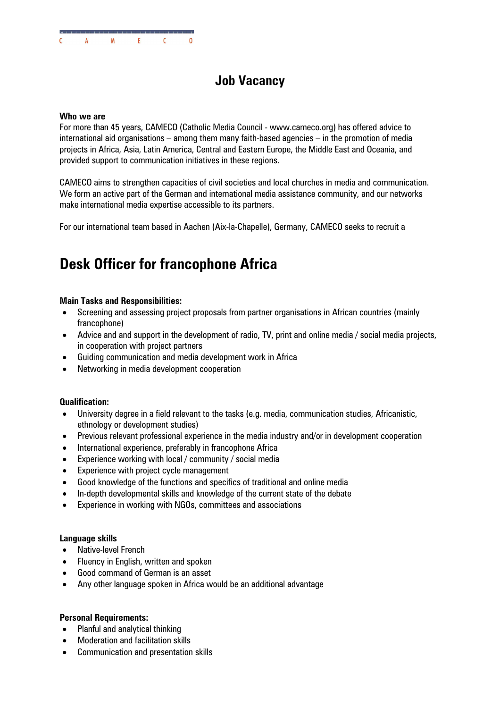# **Job Vacancy**

# **Who we are**

For more than 45 years, CAMECO (Catholic Media Council - www.cameco.org) has offered advice to international aid organisations – among them many faith-based agencies – in the promotion of media projects in Africa, Asia, Latin America, Central and Eastern Europe, the Middle East and Oceania, and provided support to communication initiatives in these regions.

CAMECO aims to strengthen capacities of civil societies and local churches in media and communication. We form an active part of the German and international media assistance community, and our networks make international media expertise accessible to its partners.

For our international team based in Aachen (Aix-la-Chapelle), Germany, CAMECO seeks to recruit a

# **Desk Officer for francophone Africa**

# **Main Tasks and Responsibilities:**

- Screening and assessing project proposals from partner organisations in African countries (mainly francophone)
- Advice and and support in the development of radio, TV, print and online media / social media projects, in cooperation with project partners
- Guiding communication and media development work in Africa
- Networking in media development cooperation

# **Qualification:**

- University degree in a field relevant to the tasks (e.g. media, communication studies, Africanistic, ethnology or development studies)
- Previous relevant professional experience in the media industry and/or in development cooperation
- International experience, preferably in francophone Africa
- Experience working with local / community / social media
- Experience with project cycle management
- Good knowledge of the functions and specifics of traditional and online media
- In-depth developmental skills and knowledge of the current state of the debate
- Experience in working with NGOs, committees and associations

# **Language skills**

- Native-level French
- Fluency in English, written and spoken
- Good command of German is an asset
- Any other language spoken in Africa would be an additional advantage

# **Personal Requirements:**

- Planful and analytical thinking
- Moderation and facilitation skills
- Communication and presentation skills